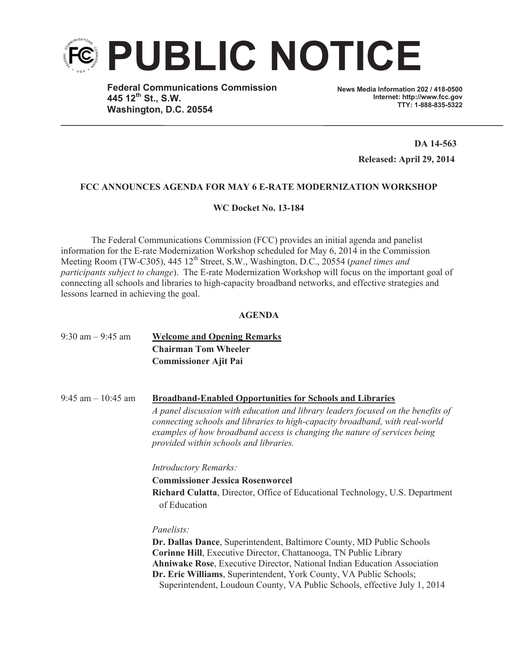

**Federal Communications Commission 445 12th St., S.W. Washington, D.C. 20554**

**News Media Information 202 / 418-0500 Internet: http://www.fcc.gov TTY: 1-888-835-5322**

> **DA 14-563 Released: April 29, 2014**

#### **FCC ANNOUNCES AGENDA FOR MAY 6 E-RATE MODERNIZATION WORKSHOP**

**WC Docket No. 13-184**

The Federal Communications Commission (FCC) provides an initial agenda and panelist information for the E-rate Modernization Workshop scheduled for May 6, 2014 in the Commission Meeting Room (TW-C305), 445 12<sup>th</sup> Street, S.W., Washington, D.C., 20554 (*panel times and participants subject to change*). The E-rate Modernization Workshop will focus on the important goal of connecting all schools and libraries to high-capacity broadband networks, and effective strategies and lessons learned in achieving the goal.

#### **AGENDA**

| $9:30$ am $-9:45$ am  | <b>Welcome and Opening Remarks</b><br><b>Chairman Tom Wheeler</b><br><b>Commissioner Ajit Pai</b>                                                                                                                                                                                                                                                                        |
|-----------------------|--------------------------------------------------------------------------------------------------------------------------------------------------------------------------------------------------------------------------------------------------------------------------------------------------------------------------------------------------------------------------|
| $9:45$ am $-10:45$ am | <b>Broadband-Enabled Opportunities for Schools and Libraries</b><br>A panel discussion with education and library leaders focused on the benefits of                                                                                                                                                                                                                     |
|                       | connecting schools and libraries to high-capacity broadband, with real-world<br>examples of how broadband access is changing the nature of services being<br>provided within schools and libraries.                                                                                                                                                                      |
|                       | <b>Introductory Remarks:</b>                                                                                                                                                                                                                                                                                                                                             |
|                       | <b>Commissioner Jessica Rosenworcel</b>                                                                                                                                                                                                                                                                                                                                  |
|                       | Richard Culatta, Director, Office of Educational Technology, U.S. Department<br>of Education                                                                                                                                                                                                                                                                             |
|                       | Panelists:                                                                                                                                                                                                                                                                                                                                                               |
|                       | Dr. Dallas Dance, Superintendent, Baltimore County, MD Public Schools<br>Corinne Hill, Executive Director, Chattanooga, TN Public Library<br>Ahniwake Rose, Executive Director, National Indian Education Association<br>Dr. Eric Williams, Superintendent, York County, VA Public Schools;<br>Superintendent, Loudoun County, VA Public Schools, effective July 1, 2014 |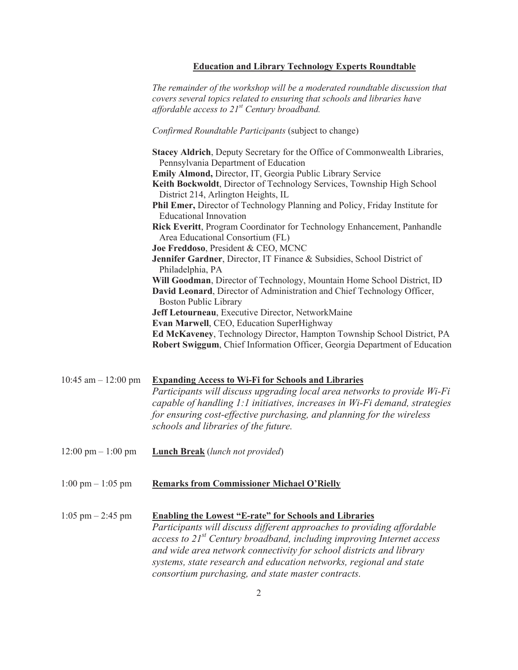## **Education and Library Technology Experts Roundtable**

*The remainder of the workshop will be a moderated roundtable discussion that covers several topics related to ensuring that schools and libraries have affordable access to 21st Century broadband.*

# *Confirmed Roundtable Participants* (subject to change)

|                                      | Stacey Aldrich, Deputy Secretary for the Office of Commonwealth Libraries,<br>Pennsylvania Department of Education<br>Emily Almond, Director, IT, Georgia Public Library Service<br>Keith Bockwoldt, Director of Technology Services, Township High School<br>District 214, Arlington Heights, IL<br>Phil Emer, Director of Technology Planning and Policy, Friday Institute for<br><b>Educational Innovation</b><br>Rick Everitt, Program Coordinator for Technology Enhancement, Panhandle<br>Area Educational Consortium (FL)<br>Joe Freddoso, President & CEO, MCNC<br>Jennifer Gardner, Director, IT Finance & Subsidies, School District of<br>Philadelphia, PA<br>Will Goodman, Director of Technology, Mountain Home School District, ID<br>David Leonard, Director of Administration and Chief Technology Officer,<br><b>Boston Public Library</b> |
|--------------------------------------|-------------------------------------------------------------------------------------------------------------------------------------------------------------------------------------------------------------------------------------------------------------------------------------------------------------------------------------------------------------------------------------------------------------------------------------------------------------------------------------------------------------------------------------------------------------------------------------------------------------------------------------------------------------------------------------------------------------------------------------------------------------------------------------------------------------------------------------------------------------|
|                                      | Jeff Letourneau, Executive Director, NetworkMaine<br>Evan Marwell, CEO, Education SuperHighway<br>Ed McKaveney, Technology Director, Hampton Township School District, PA<br>Robert Swiggum, Chief Information Officer, Georgia Department of Education                                                                                                                                                                                                                                                                                                                                                                                                                                                                                                                                                                                                     |
| 10:45 am $-$ 12:00 pm                | <b>Expanding Access to Wi-Fi for Schools and Libraries</b><br>Participants will discuss upgrading local area networks to provide Wi-Fi<br>capable of handling 1:1 initiatives, increases in Wi-Fi demand, strategies<br>for ensuring cost-effective purchasing, and planning for the wireless<br>schools and libraries of the future.                                                                                                                                                                                                                                                                                                                                                                                                                                                                                                                       |
| $12:00 \text{ pm} - 1:00 \text{ pm}$ | <b>Lunch Break</b> (lunch not provided)                                                                                                                                                                                                                                                                                                                                                                                                                                                                                                                                                                                                                                                                                                                                                                                                                     |
| $1:00 \text{ pm} - 1:05 \text{ pm}$  | <b>Remarks from Commissioner Michael O'Rielly</b>                                                                                                                                                                                                                                                                                                                                                                                                                                                                                                                                                                                                                                                                                                                                                                                                           |
| $1:05$ pm $- 2:45$ pm                | <b>Enabling the Lowest "E-rate" for Schools and Libraries</b><br>Participants will discuss different approaches to providing affordable<br>access to $21^{st}$ Century broadband, including improving Internet access<br>and wide area network connectivity for school districts and library<br>systems, state research and education networks, regional and state                                                                                                                                                                                                                                                                                                                                                                                                                                                                                          |

*consortium purchasing, and state master contracts.*